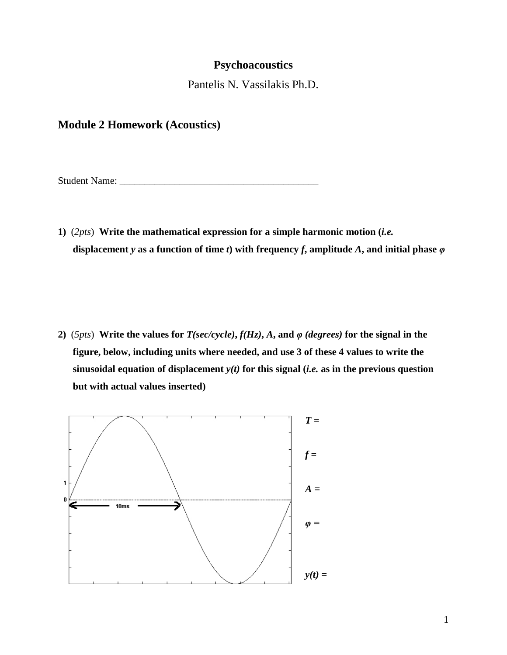# **Psychoacoustics**

Pantelis N. Vassilakis Ph.D.

# **Module 2 Homework (Acoustics)**

Student Name: \_\_\_\_\_\_\_\_\_\_\_\_\_\_\_\_\_\_\_\_\_\_\_\_\_\_\_\_\_\_\_\_\_\_\_\_\_\_\_\_

**1)** (*2pts*) **Write the mathematical expression for a simple harmonic motion (***i.e.* **displacement** *y* as a function of time *t*) with frequency *f*, amplitude *A*, and initial phase  $\varphi$ 

**2)**  $(5pts)$  Write the values for  $T(sec/cycle)$ ,  $f(Hz)$ ,  $A$ , and  $\varphi$  (degrees) for the signal in the **figure, below, including units where needed, and use 3 of these 4 values to write the sinusoidal equation of displacement** *y(t)* **for this signal (***i.e.* **as in the previous question but with actual values inserted)**

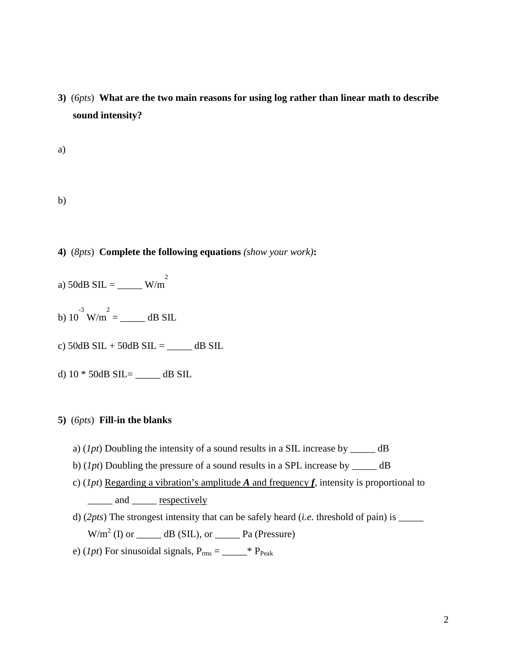**3)** (*6pts*) **What are the two main reasons for using log rather than linear math to describe sound intensity?** 

a)

b)

- **4)** (*8pts*) **Complete the following equations** *(show your work)***:**
- a) 50dB SIL = \_\_\_\_\_ W/m<sup>2</sup>
- b)  $10^{-3}$  W/m<sup>2</sup> = \_\_\_\_\_\_\_ dB SIL
- c)  $50dB$  SIL +  $50dB$  SIL = \_\_\_\_\_\_ dB SIL
- d) 10 \* 50dB SIL= \_\_\_\_\_ dB SIL

### **5)** (*6pts*) **Fill-in the blanks**

- a) (*1pt*) Doubling the intensity of a sound results in a SIL increase by \_\_\_\_\_ dB
- b) (*1pt*) Doubling the pressure of a sound results in a SPL increase by \_\_\_\_\_ dB
- c) (*1pt*) Regarding a vibration's amplitude *A* and frequency *f*, intensity is proportional to \_\_\_\_\_ and \_\_\_\_\_ <u>respectively</u>
- d) (*2pts*) The strongest intensity that can be safely heard (*i.e.* threshold of pain) is \_\_\_\_\_  $W/m<sup>2</sup>$  (I) or  $\underline{\hspace{1cm}}$  dB (SIL), or  $\underline{\hspace{1cm}}$  Pa (Pressure)
- e) (*lpt*) For sinusoidal signals,  $P_{rms} =$  \*  $P_{Peak}$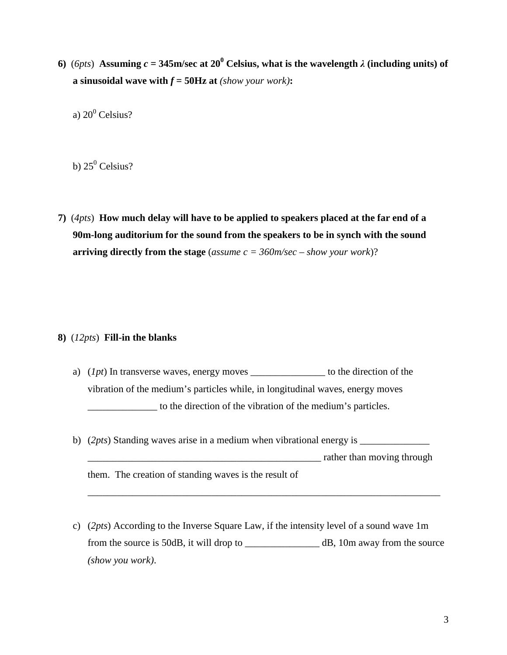**6)** (*6pts*) **Assuming** *c* **= 345m/sec at 20<sup>0</sup> Celsius, what is the wavelength**  $\lambda$  **(including units) of a** sinusoidal wave with  $f = 50$ Hz at *(show your work)*:

a)  $20^0$  Celsius?

b)  $25^0$  Celsius?

**7)** (*4pts*) **How much delay will have to be applied to speakers placed at the far end of a 90m-long auditorium for the sound from the speakers to be in synch with the sound arriving directly from the stage** (*assume c = 360m/sec – show your work*)?

#### **8)** (*12pts*) **Fill-in the blanks**

- a) (*1pt*) In transverse waves, energy moves \_\_\_\_\_\_\_\_\_\_\_\_\_\_\_ to the direction of the vibration of the medium's particles while, in longitudinal waves, energy moves \_\_\_\_\_\_\_\_\_\_\_\_\_\_ to the direction of the vibration of the medium's particles.
- b) (2*pts*) Standing waves arise in a medium when vibrational energy is \_\_\_\_\_\_\_\_\_\_\_\_\_\_\_  $\blacksquare$  rather than moving through them. The creation of standing waves is the result of
- c) (*2pts*) According to the Inverse Square Law, if the intensity level of a sound wave 1m from the source is 50dB, it will drop to \_\_\_\_\_\_\_\_\_\_\_\_\_\_\_ dB, 10m away from the source *(show you work)*.

\_\_\_\_\_\_\_\_\_\_\_\_\_\_\_\_\_\_\_\_\_\_\_\_\_\_\_\_\_\_\_\_\_\_\_\_\_\_\_\_\_\_\_\_\_\_\_\_\_\_\_\_\_\_\_\_\_\_\_\_\_\_\_\_\_\_\_\_\_\_\_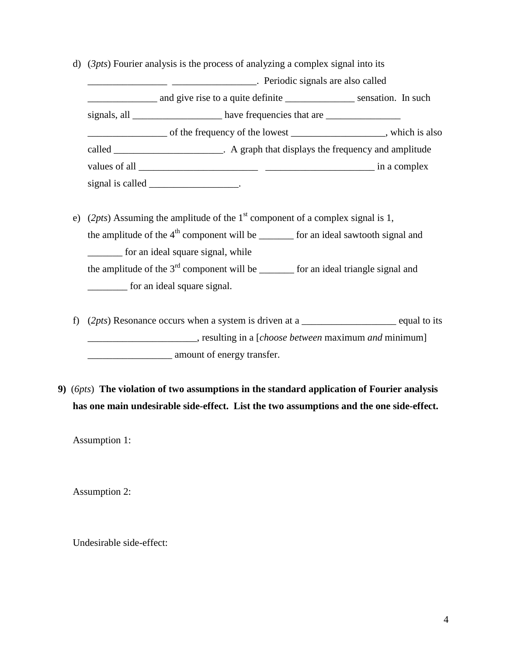d) (*3pts*) Fourier analysis is the process of analyzing a complex signal into its

\_\_\_\_\_\_\_\_\_\_\_\_\_\_\_\_ \_\_\_\_\_\_\_\_\_\_\_\_\_\_\_\_\_. Periodic signals are also called \_\_\_\_\_\_\_\_\_\_\_\_\_\_ and give rise to a quite definite \_\_\_\_\_\_\_\_\_\_\_\_\_\_ sensation. In such signals, all \_\_\_\_\_\_\_\_\_\_\_\_\_\_\_\_\_\_\_\_\_ have frequencies that are \_\_\_\_\_\_\_\_\_\_\_\_\_\_\_\_\_\_\_\_ \_\_\_\_\_\_\_\_\_\_\_\_\_\_\_\_ of the frequency of the lowest \_\_\_\_\_\_\_\_\_\_\_\_\_\_\_\_\_\_\_, which is also called \_\_\_\_\_\_\_\_\_\_\_\_\_\_\_\_\_\_\_\_\_\_. A graph that displays the frequency and amplitude values of all \_\_\_\_\_\_\_\_\_\_\_\_\_\_\_\_\_\_\_\_\_\_\_\_ \_\_\_\_\_\_\_\_\_\_\_\_\_\_\_\_\_\_\_\_\_\_ in a complex signal is called \_\_\_\_\_\_\_\_\_\_\_\_\_\_\_\_\_\_\_.

- e) (2*pts*) Assuming the amplitude of the  $1<sup>st</sup>$  component of a complex signal is 1, the amplitude of the  $4<sup>th</sup>$  component will be  $\qquad$  for an ideal sawtooth signal and \_\_\_\_\_\_\_ for an ideal square signal, while the amplitude of the  $3^{rd}$  component will be  $\qquad$  for an ideal triangle signal and \_\_\_\_\_\_\_\_ for an ideal square signal.
- f) (2*pts*) Resonance occurs when a system is driven at a equal to its \_\_\_\_\_\_\_\_\_\_\_\_\_\_\_\_\_\_\_\_\_\_, resulting in a [*choose between* maximum *and* minimum] **Example 2.1** amount of energy transfer.
- **9)** (*6pts*) **The violation of two assumptions in the standard application of Fourier analysis has one main undesirable side-effect. List the two assumptions and the one side-effect.**

Assumption 1:

Assumption 2:

Undesirable side-effect: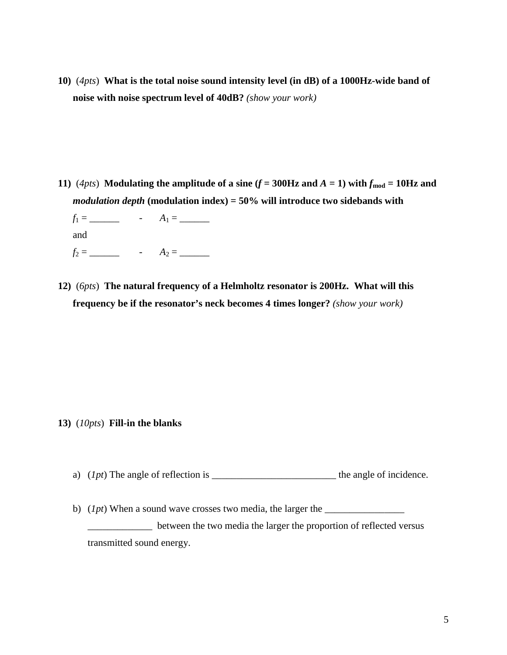**10)** (*4pts*) **What is the total noise sound intensity level (in dB) of a 1000Hz-wide band of noise with noise spectrum level of 40dB?** *(show your work)*

**11**)  $(4pts)$  **Modulating the amplitude of a sine (** $f = 300$ **Hz and**  $A = 1$ **) with**  $f_{\text{mod}} = 10$ **Hz and** *modulation depth* **(modulation index) = 50% will introduce two sidebands with**

*f*<sup>1</sup> = \_\_\_\_\_\_ - *A*<sup>1</sup> = \_\_\_\_\_\_ and *f*<sup>2</sup> = \_\_\_\_\_\_ - *A*<sup>2</sup> = \_\_\_\_\_\_

**12)** (*6pts*) **The natural frequency of a Helmholtz resonator is 200Hz. What will this frequency be if the resonator's neck becomes 4 times longer?** *(show your work)*

- **13)** (*10pts*) **Fill-in the blanks**
	- a) (*1pt*) The angle of reflection is \_\_\_\_\_\_\_\_\_\_\_\_\_\_\_\_\_\_\_\_\_\_\_\_\_ the angle of incidence.
	- b) (*1pt*) When a sound wave crosses two media, the larger the \_\_\_\_\_\_\_\_\_\_\_\_\_\_\_\_ \_\_\_\_\_\_\_\_\_\_\_\_\_ between the two media the larger the proportion of reflected versus

transmitted sound energy.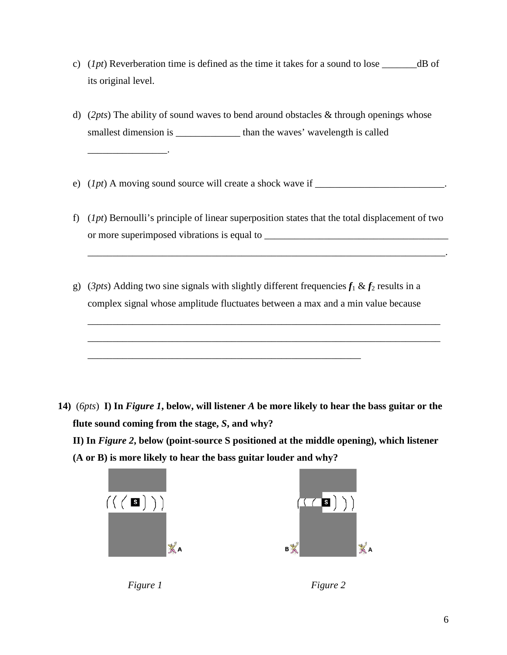- c) (*1pt*) Reverberation time is defined as the time it takes for a sound to lose \_\_\_\_\_\_\_dB of its original level.
- d) (*2pts*) The ability of sound waves to bend around obstacles & through openings whose smallest dimension is \_\_\_\_\_\_\_\_\_\_\_\_\_\_\_\_\_ than the waves' wavelength is called
- e)  $(1pt)$  A moving sound source will create a shock wave if  $\Box$
- f) (*1pt*) Bernoulli's principle of linear superposition states that the total displacement of two or more superimposed vibrations is equal to \_\_\_\_\_\_\_\_\_\_\_\_\_\_\_\_\_\_\_\_\_\_\_\_\_\_\_\_\_\_\_\_\_\_\_\_\_

\_\_\_\_\_\_\_\_\_\_\_\_\_\_\_\_\_\_\_\_\_\_\_\_\_\_\_\_\_\_\_\_\_\_\_\_\_\_\_\_\_\_\_\_\_\_\_\_\_\_\_\_\_\_\_\_\_\_\_\_\_\_\_\_\_\_\_\_\_\_\_\_.

\_\_\_\_\_\_\_\_\_\_\_\_\_\_\_\_\_\_\_\_\_\_\_\_\_\_\_\_\_\_\_\_\_\_\_\_\_\_\_\_\_\_\_\_\_\_\_\_\_\_\_\_\_\_\_\_\_\_\_\_\_\_\_\_\_\_\_\_\_\_\_

\_\_\_\_\_\_\_\_\_\_\_\_\_\_\_\_\_\_\_\_\_\_\_\_\_\_\_\_\_\_\_\_\_\_\_\_\_\_\_\_\_\_\_\_\_\_\_\_\_\_\_\_\_\_\_\_\_\_\_\_\_\_\_\_\_\_\_\_\_\_\_

g) (*3pts*) Adding two sine signals with slightly different frequencies  $f_1 \& f_2$  results in a complex signal whose amplitude fluctuates between a max and a min value because

\_\_\_\_\_\_\_\_\_\_\_\_\_\_\_\_\_\_\_\_\_\_\_\_\_\_\_\_\_\_\_\_\_\_\_\_\_\_\_\_\_\_\_\_\_\_\_\_\_\_\_\_\_\_\_

**14)** (*6pts*) **I) In** *Figure 1***, below, will listener** *A* **be more likely to hear the bass guitar or the flute sound coming from the stage,** *S***, and why?** 

**II) In** *Figure 2***, below (point-source S positioned at the middle opening), which listener (A or B) is more likely to hear the bass guitar louder and why?**





\_\_\_\_\_\_\_\_\_\_\_\_\_\_\_\_.

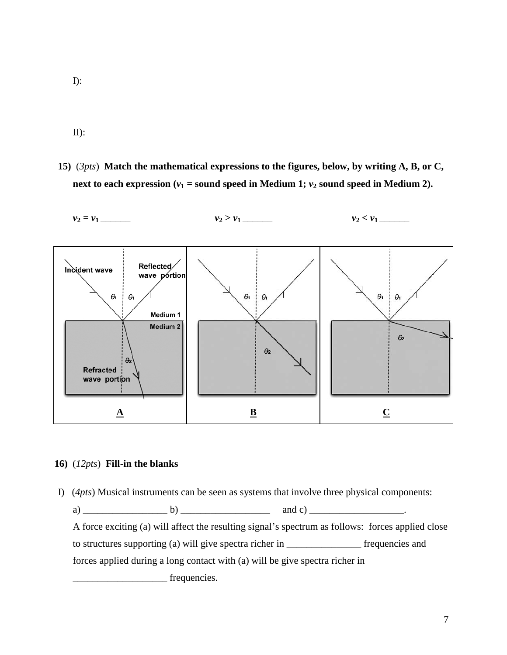- I):
- II):
- **15)** (*3pts*) **Match the mathematical expressions to the figures, below, by writing A, B, or C, next to each expression** ( $v_1$  = sound speed in Medium 1;  $v_2$  sound speed in Medium 2).



### **16)** (*12pts*) **Fill-in the blanks**

I) (*4pts*) Musical instruments can be seen as systems that involve three physical components: a) \_\_\_\_\_\_\_\_\_\_\_\_\_\_\_\_\_ b) \_\_\_\_\_\_\_\_\_\_\_\_\_\_\_\_\_\_ and c) \_\_\_\_\_\_\_\_\_\_\_\_\_\_\_\_\_\_\_. A force exciting (a) will affect the resulting signal's spectrum as follows: forces applied close to structures supporting (a) will give spectra richer in \_\_\_\_\_\_\_\_\_\_\_\_\_\_\_ frequencies and forces applied during a long contact with (a) will be give spectra richer in frequencies.